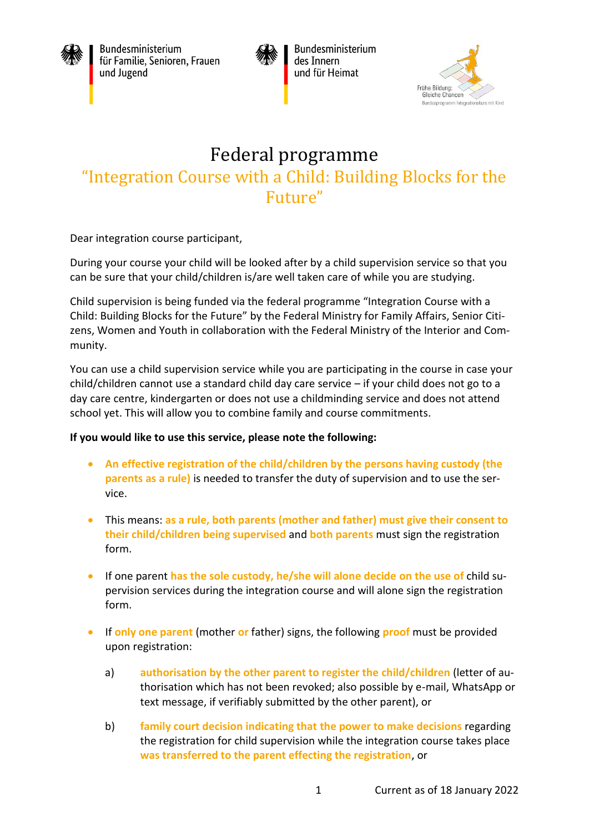

Bundesministerium für Familie, Senioren, Frauen und Jugend



Bundesministerium des Innern und für Heimat



## Federal programme "Integration Course with a Child: Building Blocks for the Future"

Dear integration course participant,

During your course your child will be looked after by a child supervision service so that you can be sure that your child/children is/are well taken care of while you are studying.

Child supervision is being funded via the federal programme "Integration Course with a Child: Building Blocks for the Future" by the Federal Ministry for Family Affairs, Senior Citizens, Women and Youth in collaboration with the Federal Ministry of the Interior and Community.

You can use a child supervision service while you are participating in the course in case your child/children cannot use a standard child day care service – if your child does not go to a day care centre, kindergarten or does not use a childminding service and does not attend school yet. This will allow you to combine family and course commitments.

## **If you would like to use this service, please note the following:**

- **An effective registration of the child/children by the persons having custody (the parents as a rule)** is needed to transfer the duty of supervision and to use the service.
- This means: **as a rule, both parents (mother and father) must give their consent to their child/children being supervised** and **both parents** must sign the registration form.
- If one parent **has the sole custody, he/she will alone decide on the use of** child supervision services during the integration course and will alone sign the registration form.
- If **only one parent** (mother **or** father) signs, the following **proof** must be provided upon registration:
	- a) **authorisation by the other parent to register the child/children** (letter of authorisation which has not been revoked; also possible by e-mail, WhatsApp or text message, if verifiably submitted by the other parent), or
	- b) **family court decision indicating that the power to make decisions** regarding the registration for child supervision while the integration course takes place **was transferred to the parent effecting the registration**, or